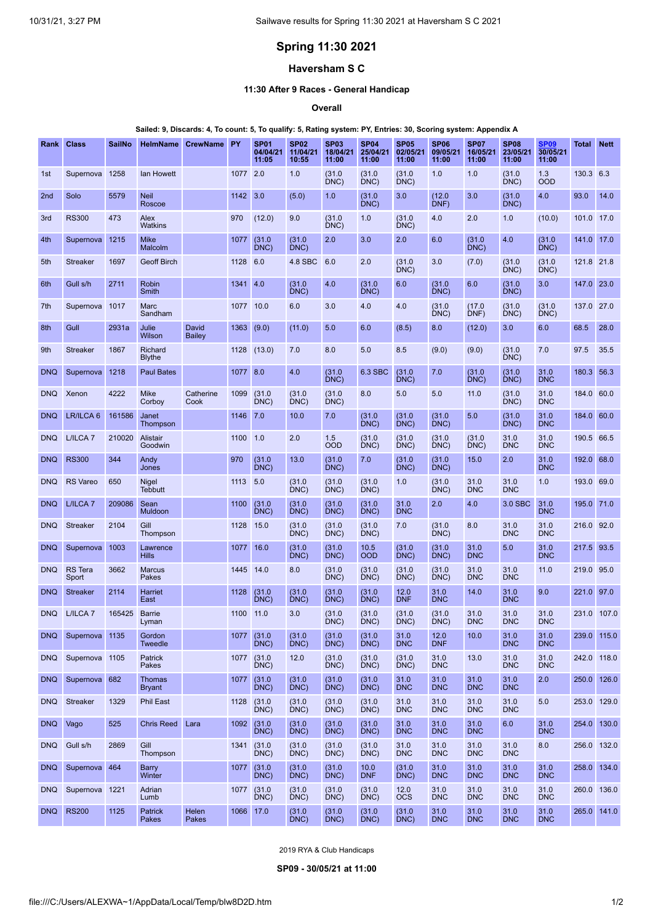# **Spring 11:30 2021**

## **Haversham S C**

### **11:30 After 9 Races - General Handicap**

**Overall**

#### Sailed: 9, Discards: 4, To count: 5, To qualify: 5, Rating system: PY, Entries: 30, Scoring system: Appendix A

| Rank            | <b>Class</b>            | <b>SailNo</b> | <b>HelmName</b>                | <b>CrewName</b>        | PY        | <b>SP01</b><br>04/04/21<br>11:05 | <b>SP02</b><br>11/04/21<br>10:55 | <b>SP03</b><br>18/04/21<br>11:00 | <b>SP04</b><br>25/04/21<br>11:00 | <b>SP05</b><br>02/05/21<br>11:00 | <b>SP06</b><br>09/05/21<br>11:00 | <b>SP07</b><br>16/05/21<br>11:00 | <b>SP08</b><br>23/05/21<br>11:00 | <b>SP09</b><br>30/05/21<br>11:00 | Total       | <b>Nett</b> |
|-----------------|-------------------------|---------------|--------------------------------|------------------------|-----------|----------------------------------|----------------------------------|----------------------------------|----------------------------------|----------------------------------|----------------------------------|----------------------------------|----------------------------------|----------------------------------|-------------|-------------|
| 1st             | Supernova 1258          |               | lan Howett                     |                        | 1077      | 2.0                              | 1.0                              | (31.0)<br>DNC)                   | (31.0)<br>DNC)                   | (31.0)<br>DNC)                   | 1.0                              | 1.0                              | (31.0)<br>DNC)                   | 1.3<br>OOD                       | 130.3 6.3   |             |
| 2 <sub>nd</sub> | Solo                    | 5579          | <b>Neil</b><br>Roscoe          |                        | 1142      | 3.0                              | (5.0)                            | 1.0                              | (31.0)<br>DNC)                   | 3.0                              | (12.0)<br>DNF)                   | 3.0                              | (31.0)<br>DNC)                   | 4.0                              | 93.0        | 14.0        |
| 3rd             | <b>RS300</b>            | 473           | Alex<br>Watkins                |                        | 970       | (12.0)                           | 9.0                              | (31.0)<br>DNC                    | 1.0                              | (31.0)<br>DNC)                   | 4.0                              | 2.0                              | 1.0                              | (10.0)                           | 101.0       | 17.0        |
| 4th             | Supernova               | 1215          | <b>Mike</b><br>Malcolm         |                        | 1077      | (31.0)<br>DNC)                   | (31.0)<br>DNC                    | 2.0                              | 3.0                              | 2.0                              | 6.0                              | (31.0)<br>DNC)                   | 4.0                              | (31.0)<br>DNC)                   | 141.0       | 17.0        |
| 5th             | <b>Streaker</b>         | 1697          | <b>Geoff Birch</b>             |                        | 1128      | 6.0                              | 4.8 SBC                          | 6.0                              | 2.0                              | (31.0)<br>DNC)                   | 3.0                              | (7.0)                            | (31.0)<br>DNC)                   | (31.0)<br>DNC)                   | 121.8 21.8  |             |
| 6th             | Gull s/h                | 2711          | Robin<br>Smith                 |                        | 1341      | 4.0                              | (31.0)<br>DNC)                   | 4.0                              | (31.0)<br>DNC)                   | 6.0                              | (31.0)<br>DNC)                   | 6.0                              | (31.0)<br>DNC)                   | 3.0                              | 147.0       | 23.0        |
| 7th             | Supernova               | 1017          | Marc<br>Sandham                |                        | 1077      | 10.0                             | 6.0                              | 3.0                              | 4.0                              | 4.0                              | (31.0)<br>DNC)                   | (17.0)<br>DNF)                   | (31.0)<br>DNC)                   | (31.0)<br>DNC)                   | 137.0 27.0  |             |
| 8th             | Gull                    | 2931a         | Julie<br>Wilson                | David<br><b>Bailey</b> | 1363      | (9.0)                            | (11.0)                           | 5.0                              | 6.0                              | (8.5)                            | 8.0                              | (12.0)                           | 3.0                              | 6.0                              | 68.5        | 28.0        |
| 9th             | <b>Streaker</b>         | 1867          | Richard<br><b>Blythe</b>       |                        | 1128      | (13.0)                           | 7.0                              | 8.0                              | 5.0                              | 8.5                              | (9.0)                            | (9.0)                            | (31.0)<br>DNC)                   | 7.0                              | 97.5        | 35.5        |
| <b>DNQ</b>      | Supernova               | 1218          | <b>Paul Bates</b>              |                        | 1077      | 8.0                              | 4.0                              | (31.0)<br>DNC)                   | 6.3 SBC                          | (31.0)<br>DNC)                   | 7.0                              | (31.0)<br>DNC)                   | (31.0)<br>DNC)                   | 31.0<br><b>DNC</b>               | 180.3       | 56.3        |
| <b>DNQ</b>      | Xenon                   | 4222          | <b>Mike</b><br>Corboy          | Catherine<br>Cook      | 1099      | (31.0)<br>DNC)                   | (31.0)<br>DNC)                   | (31.0)<br>DNC)                   | 8.0                              | 5.0                              | 5.0                              | 11.0                             | (31.0)<br>DNC                    | 31.0<br><b>DNC</b>               | 184.0       | 60.0        |
| <b>DNQ</b>      | LR/ILCA 6               | 161586        | Janet<br>Thompson              |                        | 1146      | 7.0                              | 10.0                             | 7.0                              | (31.0)<br>DNC)                   | (31.0)<br>DNC)                   | (31.0)<br>DNC)                   | 5.0                              | (31.0)<br>DNC)                   | 31.0<br><b>DNC</b>               | 184.0       | 60.0        |
| <b>DNQ</b>      | L/ILCA <sub>7</sub>     | 210020        | <b>Alistair</b><br>Goodwin     |                        | 1100      | 1.0                              | 2.0                              | 1.5<br><b>OOD</b>                | (31.0)<br>DNC)                   | (31.0)<br>DNC)                   | (31.0)<br>DNC)                   | (31.0)<br>DNC)                   | 31.0<br><b>DNC</b>               | 31.0<br><b>DNC</b>               | 190.5       | 66.5        |
| <b>DNQ</b>      | <b>RS300</b>            | 344           | Andy<br>Jones                  |                        | 970       | (31.0)<br>DNC)                   | 13.0                             | (31.0)<br>DNC)                   | 7.0                              | (31.0)<br>DNC)                   | (31.0)<br>DNC)                   | 15.0                             | 2.0                              | 31.0<br><b>DNC</b>               | 192.0       | 68.0        |
| <b>DNQ</b>      | <b>RS</b> Vareo         | 650           | <b>Nigel</b><br><b>Tebbutt</b> |                        | 1113      | 5.0                              | (31.0)<br>DNC)                   | (31.0)<br>DNC)                   | (31.0)<br>DNC)                   | 1.0                              | (31.0)<br>DNC)                   | 31.0<br><b>DNC</b>               | 31.0<br><b>DNC</b>               | 1.0                              | 193.0       | 69.0        |
| <b>DNQ</b>      | L/ILCA <sub>7</sub>     | 209086        | Sean<br>Muldoon                |                        | 1100      | (31.0)<br>DNC)                   | (31.0)<br>DNC)                   | (31.0)<br>DNC)                   | (31.0)<br>DNC)                   | 31.0<br><b>DNC</b>               | 2.0                              | 4.0                              | 3.0 SBC                          | 31.0<br><b>DNC</b>               | 195.0       | 71.0        |
| <b>DNQ</b>      | <b>Streaker</b>         | 2104          | Gill<br>Thompson               |                        | 1128      | 15.0                             | (31.0)<br>DNC)                   | (31.0)<br>DNC)                   | (31.0)<br>DNC)                   | 7.0                              | (31.0)<br>DNC)                   | 8.0                              | 31.0<br><b>DNC</b>               | 31.0<br><b>DNC</b>               | 216.0       | 92.0        |
| <b>DNQ</b>      | Supernova               | 1003          | Lawrence<br><b>Hills</b>       |                        | 1077      | 16.0                             | (31.0)<br>DNC)                   | (31.0)<br>DNC)                   | 10.5<br><b>OOD</b>               | (31.0)<br>DNC)                   | (31.0)<br>DNC)                   | 31.0<br><b>DNC</b>               | 5.0                              | 31.0<br><b>DNC</b>               | 217.5       | 93.5        |
| <b>DNQ</b>      | <b>RS</b> Tera<br>Sport | 3662          | <b>Marcus</b><br>Pakes         |                        | 1445      | 14.0                             | 8.0                              | (31.0)<br>DNC)                   | (31.0)<br>DNC)                   | (31.0)<br>DNC)                   | (31.0)<br>DNC)                   | 31.0<br><b>DNC</b>               | 31.0<br><b>DNC</b>               | 11.0                             | 219.0       | 95.0        |
| <b>DNQ</b>      | <b>Streaker</b>         | 2114          | Harriet<br>East                |                        | 1128      | (31.0)<br>DNC)                   | (31.0)<br>DNC)                   | (31.0)<br>DNC)                   | (31.0)<br>DNC)                   | 12.0<br><b>DNF</b>               | 31.0<br><b>DNC</b>               | 14.0                             | 31.0<br><b>DNC</b>               | 9.0                              | 221.0       | 97.0        |
| <b>DNQ</b>      | L/ILCA <sub>7</sub>     | 165425        | <b>Barrie</b><br>Lyman         |                        | 1100      | 11.0                             | 3.0                              | (31.0)<br>DNC)                   | (31.0)<br>DNC)                   | (31.0)<br>DNC)                   | (31.0)<br>DNC)                   | 31.0<br><b>DNC</b>               | 31.0<br><b>DNC</b>               | 31.0<br><b>DNC</b>               | 231.0       | 107.0       |
| DNQ             | Supernova 1135          |               | Gordon<br><b>Tweedle</b>       |                        | 1077      | (31.0)<br>DNC)                   | (31.0)<br>DNC)                   | (31.0)<br>DNC)                   | (31.0)<br>DNC)                   | 31.0<br><b>DNC</b>               | 12.0<br><b>DNF</b>               | 10.0                             | 31.0<br><b>DNC</b>               | 31.0<br><b>DNC</b>               | 239.0 115.0 |             |
| <b>DNQ</b>      | Supernova 1105          |               | Patrick<br>Pakes               |                        | 1077      | (31.0)<br>DNC)                   | 12.0                             | (31.0)<br>DNC)                   | (31.0)<br>DNC)                   | (31.0)<br>DNC)                   | 31.0<br><b>DNC</b>               | 13.0                             | 31.0<br><b>DNC</b>               | 31.0<br><b>DNC</b>               | 242.0 118.0 |             |
| <b>DNQ</b>      | Supernova 682           |               | <b>Thomas</b><br><b>Bryant</b> |                        | 1077      | (31.0)<br>DNC)                   | (31.0)<br>DNC)                   | (31.0)<br>DNC)                   | (31.0)<br>DNC)                   | 31.0<br><b>DNC</b>               | 31.0<br><b>DNC</b>               | 31.0<br><b>DNC</b>               | 31.0<br><b>DNC</b>               | 2.0                              | 250.0 126.0 |             |
| <b>DNQ</b>      | <b>Streaker</b>         | 1329          | Phil East                      |                        | 1128      | (31.0)<br>DNC)                   | (31.0)<br>DNC)                   | (31.0)<br>DNC)                   | (31.0)<br>DNC)                   | 31.0<br><b>DNC</b>               | 31.0<br><b>DNC</b>               | 31.0<br><b>DNC</b>               | 31.0<br><b>DNC</b>               | 5.0                              | 253.0 129.0 |             |
| <b>DNQ</b>      | Vago                    | 525           | <b>Chris Reed</b>              | Lara                   | 1092      | (31.0)<br>DNC)                   | (31.0)<br>DNC)                   | (31.0)<br>DNC)                   | (31.0)<br>DNC)                   | 31.0<br><b>DNC</b>               | 31.0<br><b>DNC</b>               | 31.0<br><b>DNC</b>               | 6.0                              | 31.0<br><b>DNC</b>               | 254.0       | 130.0       |
| <b>DNQ</b>      | Gull s/h                | 2869          | Gill<br>Thompson               |                        | 1341      | (31.0)<br>DNC)                   | (31.0)<br>DNC)                   | (31.0)<br>DNC)                   | (31.0)<br>DNC)                   | 31.0<br><b>DNC</b>               | 31.0<br><b>DNC</b>               | 31.0<br><b>DNC</b>               | 31.0<br><b>DNC</b>               | 8.0                              | 256.0 132.0 |             |
| <b>DNQ</b>      | Supernova 464           |               | Barry<br>Winter                |                        | 1077      | (31.0)<br>DNC)                   | (31.0)<br>DNC)                   | (31.0)<br>DNC)                   | 10.0<br><b>DNF</b>               | (31.0)<br>DNC)                   | 31.0<br><b>DNC</b>               | 31.0<br><b>DNC</b>               | 31.0<br><b>DNC</b>               | 31.0<br><b>DNC</b>               | 258.0       | 134.0       |
| <b>DNQ</b>      | Supernova 1221          |               | Adrian<br>Lumb                 |                        | 1077      | (31.0)<br>DNC)                   | (31.0)<br>DNC)                   | (31.0)<br>DNC)                   | (31.0)<br>DNC)                   | 12.0<br><b>OCS</b>               | 31.0<br><b>DNC</b>               | 31.0<br><b>DNC</b>               | 31.0<br><b>DNC</b>               | 31.0<br><b>DNC</b>               | 260.0 136.0 |             |
| <b>DNQ</b>      | <b>RS200</b>            | 1125          | Patrick<br>Pakes               | Helen<br>Pakes         | 1066 17.0 |                                  | (31.0)<br>DNC)                   | (31.0)<br>DNC)                   | (31.0)<br>DNC)                   | (31.0)<br>DNC)                   | 31.0<br><b>DNC</b>               | 31.0<br><b>DNC</b>               | 31.0<br><b>DNC</b>               | 31.0<br><b>DNC</b>               | 265.0 141.0 |             |

2019 RYA & Club Handicaps

<span id="page-0-0"></span>**SP09 - 30/05/21 at 11:00**